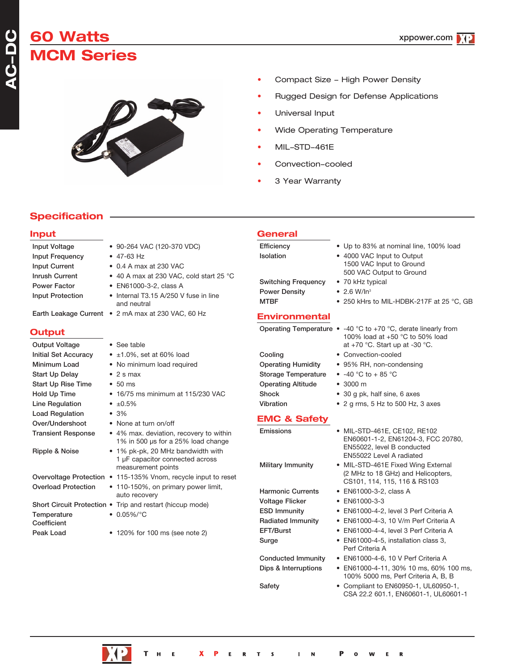# **60 Watts CM Series**



Input Voltage • 90-264 VAC (120-370 VDC)

- Compact Size High Power Density
- Rugged Design for Defense Applications
- Universal Input
- Wide Operating Temperature
- MIL-STD-461E
- Convection-cooled
- 3 Year Warranty

## **Specification**

#### **Input**

**ACDC**Č,

**Output**

| <b>Input Frequency</b>                | $\bullet$ 47-63 Hz                                                                         | Isolation                                |
|---------------------------------------|--------------------------------------------------------------------------------------------|------------------------------------------|
| <b>Input Current</b>                  | $\bullet$ 0.4 A max at 230 VAC                                                             |                                          |
| <b>Inrush Current</b><br>Power Factor | • 40 A max at 230 VAC, cold start 25 °C<br>• EN61000-3-2, class A                          | <b>Switching Frequency</b>               |
| <b>Input Protection</b>               | • Internal T3.15 A/250 V fuse in line<br>and neutral                                       | <b>Power Density</b><br><b>MTBF</b>      |
|                                       | Earth Leakage Current • 2 mA max at 230 VAC, 60 Hz                                         | <b>Environmental</b>                     |
| <b>Output</b>                         |                                                                                            | <b>Operating Temperature</b>             |
| Output Voltage                        | • See table                                                                                |                                          |
| <b>Initial Set Accuracy</b>           | $\bullet$ ±1.0%, set at 60% load                                                           | Cooling                                  |
| Minimum Load                          | • No minimum load required                                                                 | <b>Operating Humidity</b>                |
| Start Up Delay                        | $\bullet$ 2 s max                                                                          | <b>Storage Temperature</b>               |
| <b>Start Up Rise Time</b>             | $\cdot$ 50 ms                                                                              | <b>Operating Altitude</b>                |
| Hold Up Time                          | • 16/75 ms minimum at 115/230 VAC                                                          | Shock                                    |
| Line Regulation                       | • $\pm 0.5\%$                                                                              | Vibration                                |
| <b>Load Regulation</b>                | • 3%                                                                                       |                                          |
| Over/Undershoot                       | • None at turn on/off                                                                      | <b>EMC &amp; Safety</b>                  |
| <b>Transient Response</b>             | • 4% max. deviation, recovery to within<br>1% in 500 µs for a 25% load change              | Emissions                                |
| Ripple & Noise                        | • 1% pk-pk, 20 MHz bandwidth with<br>1 µF capacitor connected across<br>measurement points | Military Immunity                        |
|                                       | Overvoltage Protection • 115-135% Vnom, recycle input to reset                             |                                          |
| <b>Overload Protection</b>            | • 110-150%, on primary power limit,<br>auto recovery                                       | <b>Harmonic Currents</b>                 |
|                                       | Short Circuit Protection • Trip and restart (hiccup mode)                                  | <b>Voltage Flicker</b>                   |
| Temperature<br>Coefficient            | • $0.05\%/°C$                                                                              | <b>ESD Immunity</b><br>Radiated Immunity |
| Peak Load                             | • 120% for 100 ms (see note 2)                                                             | EFT/Burst<br>Surge                       |

### **General**

| Efficiency                 | • Up to 83% at nominal line, 100% load                                             |
|----------------------------|------------------------------------------------------------------------------------|
| <b>Isolation</b>           | • 4000 VAC Input to Output<br>1500 VAC Input to Ground<br>500 VAC Output to Ground |
| <b>Switching Frequency</b> | • 70 kHz typical                                                                   |
| <b>Power Density</b>       | • 2.6 W/ $ln^3$                                                                    |
| <b>MTBF</b>                | • 250 kHrs to MIL-HDBK-217F at 25 °C, GB                                           |
| <b>Environmental</b>       |                                                                                    |
|                            | <b>Operating Temperature •</b> -40 °C to +70 °C, derate linearly from              |

|  | • -40 °C to +70 °C, derate linearly fro |
|--|-----------------------------------------|
|  | 100% load at $+50$ °C to 50% load       |
|  | at +70 °C. Start up at -30 °C.          |

- Convection-cooled
- 95% RH, non-condensing
- $\bullet$  -40 °C to + 85 °C

Perf Criteria A

- $\bullet$  3000 m
- $\bullet$  30 g pk, half sine, 6 axes
- $\bullet$  2 g rms, 5 Hz to 500 Hz, 3 axes

• MIL-STD-461E, CE102, RE102

EN55022, level B conducted EN55022 Level A radiated

EN60601-1-2, EN61204-3, FCC 20780,

(2 MHz to 18 GHz) and Helicopters, CS101, 114, 115, 116 & RS103

• MIL-STD-461E Fixed Wing External  $\bullet$  EN61000-3-2, class A  $\cdot$  EN61000-3-3 • EN61000-4-2, level 3 Perf Criteria A • EN61000-4-3, 10 V/m Perf Criteria A • EN61000-4-4, level 3 Perf Criteria A • EN61000-4-5, installation class 3,

Conducted Immunity • EN61000-4-6, 10 V Perf Criteria A Dips & Interruptions • EN61000-4-11, 30% 10 ms, 60% 100 ms,

100% 5000 ms, Perf Criteria A, B, B Safety • Compliant to EN60950-1, UL60950-1, CSA 22.2 601.1, EN60601-1, UL60601-1